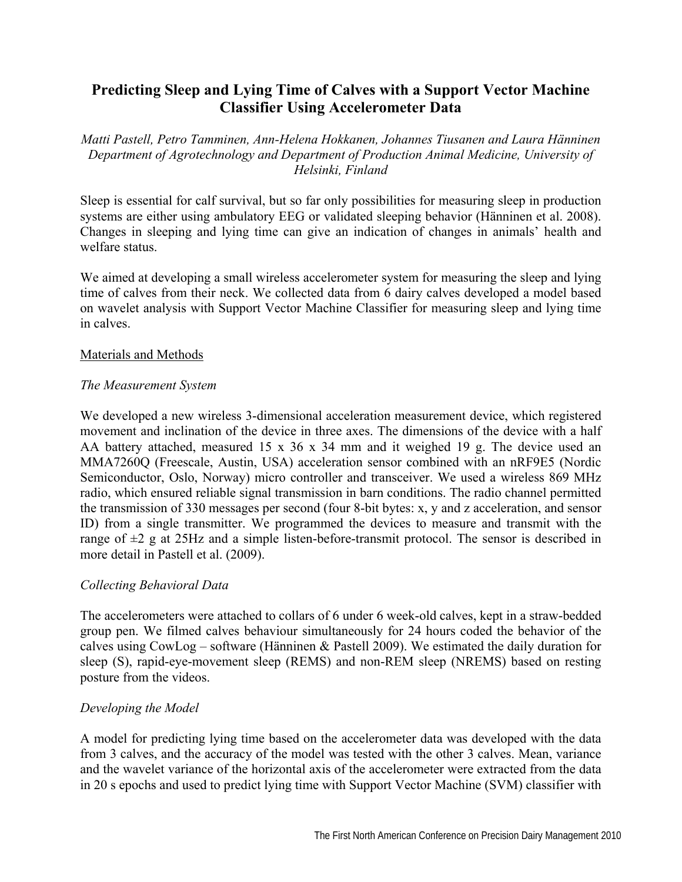# **Predicting Sleep and Lying Time of Calves with a Support Vector Machine Classifier Using Accelerometer Data**

*Matti Pastell, Petro Tamminen, Ann-Helena Hokkanen, Johannes Tiusanen and Laura Hänninen Department of Agrotechnology and Department of Production Animal Medicine, University of Helsinki, Finland* 

Sleep is essential for calf survival, but so far only possibilities for measuring sleep in production systems are either using ambulatory EEG or validated sleeping behavior (Hänninen et al. 2008). Changes in sleeping and lying time can give an indication of changes in animals' health and welfare status.

We aimed at developing a small wireless accelerometer system for measuring the sleep and lying time of calves from their neck. We collected data from 6 dairy calves developed a model based on wavelet analysis with Support Vector Machine Classifier for measuring sleep and lying time in calves.

## Materials and Methods

## *The Measurement System*

We developed a new wireless 3-dimensional acceleration measurement device, which registered movement and inclination of the device in three axes. The dimensions of the device with a half AA battery attached, measured 15 x 36 x 34 mm and it weighed 19 g. The device used an MMA7260Q (Freescale, Austin, USA) acceleration sensor combined with an nRF9E5 (Nordic Semiconductor, Oslo, Norway) micro controller and transceiver. We used a wireless 869 MHz radio, which ensured reliable signal transmission in barn conditions. The radio channel permitted the transmission of 330 messages per second (four 8-bit bytes: x, y and z acceleration, and sensor ID) from a single transmitter. We programmed the devices to measure and transmit with the range of  $\pm 2$  g at 25Hz and a simple listen-before-transmit protocol. The sensor is described in more detail in Pastell et al. (2009).

# *Collecting Behavioral Data*

The accelerometers were attached to collars of 6 under 6 week-old calves, kept in a straw-bedded group pen. We filmed calves behaviour simultaneously for 24 hours coded the behavior of the calves using CowLog – software (Hänninen & Pastell 2009). We estimated the daily duration for sleep (S), rapid-eye-movement sleep (REMS) and non-REM sleep (NREMS) based on resting posture from the videos.

# *Developing the Model*

A model for predicting lying time based on the accelerometer data was developed with the data from 3 calves, and the accuracy of the model was tested with the other 3 calves. Mean, variance and the wavelet variance of the horizontal axis of the accelerometer were extracted from the data in 20 s epochs and used to predict lying time with Support Vector Machine (SVM) classifier with